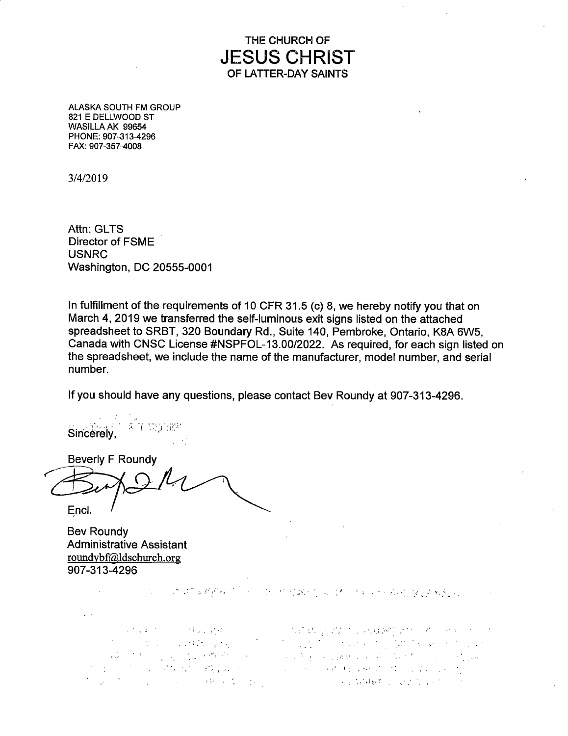THE CHURCH OF **JESUS CHRIST**  OF LATTER-DAY SAINTS

ALASKA SOUTH FM GROUP 821 E DELLWOOD ST WASILLA AK 99654 PHONE: 907-313-4296 FAX: 907-357-4008

3/4/2019

Attn: GLTS Director of FSME USNRC Washington, DC 20555-0001

In fulfillment of the requirements of 10 CFR 31.5 (c) 8, we hereby notify you that on March 4, 2019 we transferred the self-luminous exit signs listed on the attached spreadsheet to SRBT, 320 Boundary Rd., Suite 140, Pembroke, Ontario, KBA 6W5, Canada with CNSC License #NSPFOL-13.00/2022. As required, for each sign listed on the spreadsheet, we include the name of the manufacturer, model number, and serial number.

If you should have any questions, please contact Bev Roundy at 907-313-4296.

s Andrea Con 第77-555 (BB) Sincerely,

**Beverly F Roundy** Encl.

Bev Roundy Administrative Assistant roundybf@ldschurch.org 907 -313-4296

 $\mathbf{r}$ 

\_ I ,, , .: . 'i . ~-

 $\label{eq:2.1} \mathcal{L}^{(k)}(\mathcal{L}(\mathcal{L}^{\otimes k})^{\otimes k}) = \mathcal{L}^{(k)}(\mathcal{L}(\mathcal{L}^{\otimes k})^{\otimes k})$ Minday 2011, apple of the Kingdom of the de l'appartie de la partie de la proposition de la partie de la partie de la partie de la partie de la partie .  $\mathcal{L}^{\mathcal{L}}$  is the set of the set of the set of the set of the set of the set of the set of the set of the set of the set of the set of the set of the set of the set of the set of the set of the set of the set of th It is a significant of the company of the second control of the company **SWARD**  $\mathcal{L}_{\mathcal{L}}$  , where  $\mathcal{L}_{\mathcal{L}}$ **First Property of the Control Property**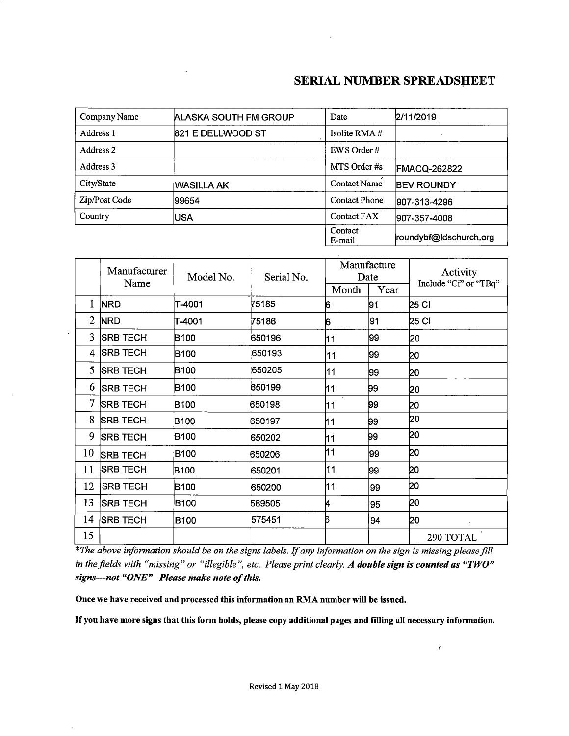$\boldsymbol{f}$ 

| Company Name                   | ALASKA SOUTH FM GROUP | Date                 | 2/11/2019              |
|--------------------------------|-----------------------|----------------------|------------------------|
| Address 1<br>821 E DELLWOOD ST |                       | Isolite RMA $#$      |                        |
| Address 2                      |                       | EWS Order#           |                        |
| Address 3                      |                       | MTS Order #s         | <b>FMACQ-262822</b>    |
| City/State                     | IWASILLA AK           | <b>Contact Name</b>  | <b>BEV ROUNDY</b>      |
| Zip/Post Code                  | 99654                 | <b>Contact Phone</b> | 907-313-4296           |
| Country                        | <b>IUSA</b>           | <b>Contact FAX</b>   | 907-357-4008           |
|                                |                       | Contact<br>E-mail    | roundybf@ldschurch.org |

|                | Manufacturer<br>Name | Model No.   | Serial No. |       | Manufacture<br>Date | Activity<br>Include "Ci" or "TBq" |
|----------------|----------------------|-------------|------------|-------|---------------------|-----------------------------------|
|                |                      |             |            | Month | Year                |                                   |
| 1              | <b>NRD</b>           | T-4001      | 75185      | 6     | 91                  | 25 CI                             |
| $\overline{2}$ | <b>NRD</b>           | T-4001      | 75186      | 6     | 91                  | 25 CI                             |
| $\overline{3}$ | <b>SRB TECH</b>      | B100        | 650196     | 11    | 99                  | 20                                |
| 4              | <b>SRB TECH</b>      | B100        | 650193     | 11    | 99                  | þο                                |
| 5              | <b>SRB TECH</b>      | B100        | 650205     | 11    | 99                  | 20                                |
| 6              | <b>SRB TECH</b>      | B100        | 650199     | 11    | 99                  | 20                                |
| $\mathcal{I}$  | <b>SRB TECH</b>      | B100        | 650198     | 11    | 99                  | 20                                |
| 8              | <b>SRB TECH</b>      | <b>B100</b> | 650197     | 11    | 99                  | 20                                |
| 9              | <b>SRB TECH</b>      | B100        | 650202     | 11    | 99                  | 20                                |
| 10             | <b>SRB TECH</b>      | B100        | 650206     | 11    | 99                  | 20                                |
| 11             | <b>SRB TECH</b>      | B100        | 650201     | 11    | 99                  | 20                                |
| 12             | <b>SRB TECH</b>      | B100        | 650200     | 11    | 99                  | 20                                |
| 13             | <b>SRB TECH</b>      | B100        | 589505     | 14    | 95                  | 20                                |
| 14             | <b>SRB TECH</b>      | B100        | 575451     | Б     | 94                  | 20                                |
| 15             |                      |             |            |       |                     | 290 TOTAL                         |

*\*The above information should be on the signs labels. If any information on the sign is missing please fill in the fields with "missing" or "illegible", etc. Please print clearly. A double sign is counted as "TWO" signs--not "ONE" Please make note of this.* 

**Once we have received and processed this information an RMA number will be issued.**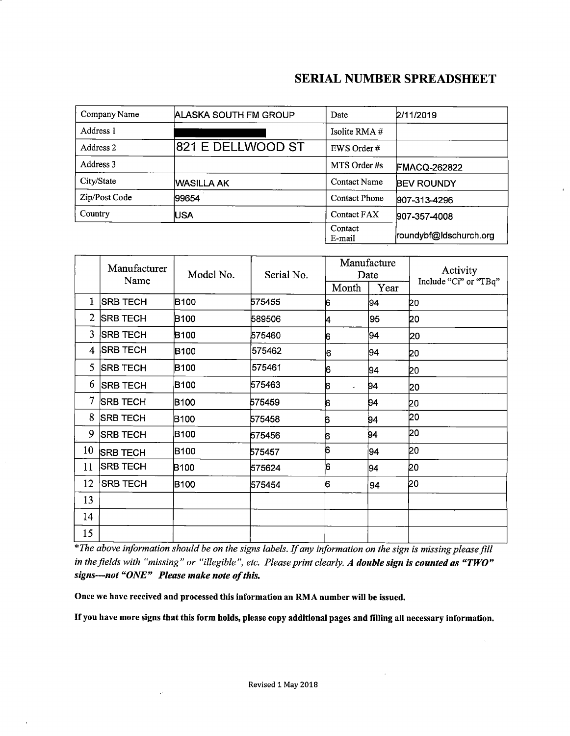| Company Name<br>ALASKA SOUTH FM GROUP |                   | Date                 | 2/11/2019              |
|---------------------------------------|-------------------|----------------------|------------------------|
| Address 1                             |                   | Isolite RMA $#$      |                        |
| Address 2                             | 821 E DELLWOOD ST | EWS Order#           |                        |
| Address 3                             |                   | MTS Order #s         | <b>FMACQ-262822</b>    |
| City/State                            | IWASILLA AK       | <b>Contact Name</b>  | <b>BEV ROUNDY</b>      |
| Zip/Post Code                         | 99654             | <b>Contact Phone</b> | 907-313-4296           |
| Country                               | USA               | Contact FAX          | 907-357-4008           |
|                                       |                   | Contact<br>E-mail    | roundybf@ldschurch.org |

|              | Manufacturer    | Model No.        | Serial No. | Manufacture<br>Date |      | Activity              |
|--------------|-----------------|------------------|------------|---------------------|------|-----------------------|
|              | Name            |                  |            |                     |      | Include "Ci" or "TBq" |
|              |                 |                  |            | Month               | Year |                       |
| 1            | <b>SRB TECH</b> | B100             | 575455     | 6                   | 94   | ÞΟ                    |
| $\mathbf{2}$ | <b>SRB TECH</b> | B <sub>100</sub> | 589506     | 4                   | 95   | 20                    |
| 3            | <b>SRB TECH</b> | B100             | 575460     | 6                   | 94   | 20                    |
| 4            | <b>SRB TECH</b> | B100             | 575462     | 6                   | 94   | 20                    |
| 5            | <b>SRB TECH</b> | B <sub>100</sub> | 575461     | 6                   | 94   | 20                    |
| 6            | <b>SRB TECH</b> | B100             | 575463     | 6                   | 94   | 20                    |
| $\tau$       | <b>SRB TECH</b> | <b>B100</b>      | 575459     | 6                   | 94   | 20                    |
| 8            | <b>SRB TECH</b> | <b>B100</b>      | 575458     | 6                   | 94   | 20                    |
| 9            | <b>SRB TECH</b> | <b>B100</b>      | 575456     | 6                   | 94   | 20                    |
| 10           | <b>SRB TECH</b> | B100             | 575457     | 6                   | 94   | 20                    |
| 11           | <b>SRB TECH</b> | B <sub>100</sub> | 575624     | ļ6                  | 94   | 20                    |
| 12           | <b>SRB TECH</b> | B <sub>100</sub> | 575454     | 6                   | 94   | bo                    |
| 13           |                 |                  |            |                     |      |                       |
| 14           |                 |                  |            |                     |      |                       |
| 15           |                 |                  |            |                     |      |                       |

*\*The above .information should be on the signs labels. If any information on the sign is missing please fill in the fields with "missing" or "illegible", etc. Please print clearly. A double sign is counted as "TWO" signs--not "ONE" Please make note of this.* 

**Once we have received and processed this information an RMA number will be issued.** 

l,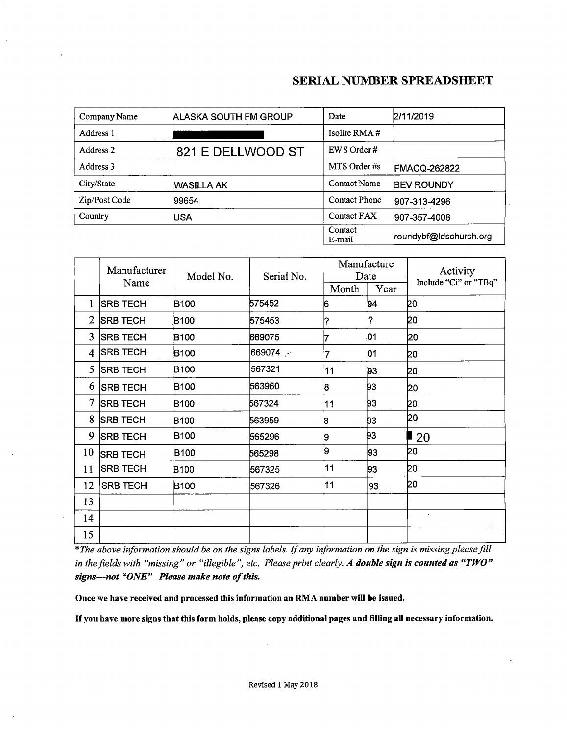| Company Name  | <b>ALASKA SOUTH FM GROUP</b> | Date                 | 2/11/2019              |
|---------------|------------------------------|----------------------|------------------------|
| Address 1     |                              | Isolite RMA#         |                        |
| Address 2     | 821 E DELLWOOD ST            | EWS Order#           |                        |
| Address 3     |                              | MTS Order #s         | <b>FMACQ-262822</b>    |
| City/State    | WASILLA AK                   | <b>Contact Name</b>  | <b>BEV ROUNDY</b>      |
| Zip/Post Code | 99654                        | <b>Contact Phone</b> | 907-313-4296           |
| Country       | <b>IUSA</b>                  | Contact FAX          | 907-357-4008           |
|               |                              | Contact<br>E-mail    | roundybf@ldschurch.org |

|                 | Manufacturer    | Model No.        | Serial No. |       | Manufacture<br>Date | Activity              |
|-----------------|-----------------|------------------|------------|-------|---------------------|-----------------------|
|                 | Name            |                  |            | Month | Year                | Include "Ci" or "TBq" |
| 1               | <b>SRB TECH</b> | <b>B100</b>      | 575452     | 6     | 94                  | 20                    |
| $\overline{2}$  | <b>SRB TECH</b> | B100             | 575453     |       | ?                   | 20                    |
| 3               | <b>SRB TECH</b> | B100             | 669075     |       | 01                  | 20                    |
| 4               | <b>SRB TECH</b> | B100             | 669074     |       | 01                  | 20                    |
| 5.              | <b>SRB TECH</b> | B100             | 567321     | 11    | 93                  | 20                    |
| 6               | <b>SRB TECH</b> | B100             | 563960     | 8     | þЗ.                 | 20                    |
| $7\phantom{.0}$ | <b>SRB TECH</b> | <b>B100</b>      | 567324     | 11    | 93                  | 20                    |
| 8               | <b>SRB TECH</b> | B <sub>100</sub> | 563959     | 8     | 93                  | 20                    |
| 9               | <b>SRB TECH</b> | <b>B100</b>      | 565296     | 9     | þз                  | ∎ 20                  |
| 10              | <b>SRB TECH</b> | <b>B100</b>      | 565298     | 9     | 93                  | 20                    |
| 11              | <b>SRB TECH</b> | <b>B100</b>      | 567325     | 11    | 93                  | þ0                    |
| 12              | <b>SRB TECH</b> | B100             | 567326     | 11    | 93                  | b0                    |
| 13              |                 |                  |            |       |                     |                       |
| 14              |                 |                  |            |       |                     | $\ddot{\phantom{a}}$  |
| 15              |                 |                  |            |       |                     |                       |

\* *The above information should be on the signs labels. If any information on the sign is missing please fill in the fields with "missing" or "illegible", etc. Please print clearly. A double sign is counted as "TWO" signs--not "ONE" Please make note of this.* 

**Once we have received and processed this information an RMA number will be issued.**